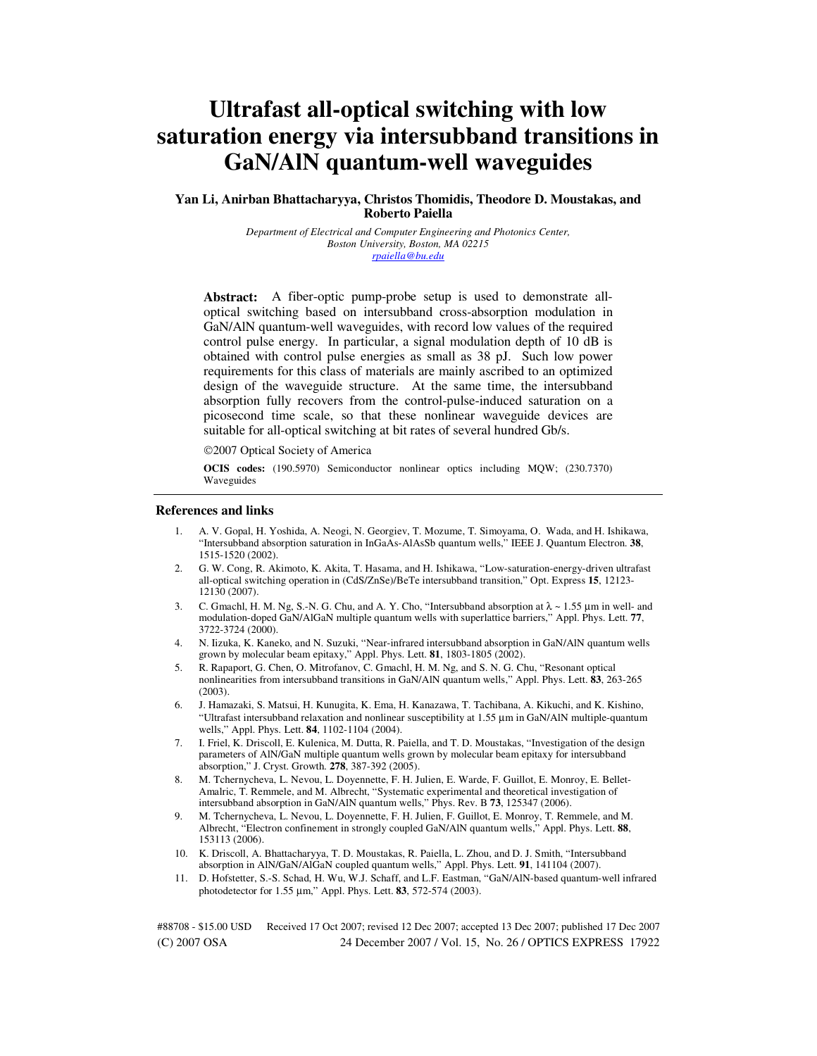# **Ultrafast all-optical switching with low saturation energy via intersubband transitions in GaN/AlN quantum-well waveguides**

## **Yan Li, Anirban Bhattacharyya, Christos Thomidis, Theodore D. Moustakas, and Roberto Paiella**

*Department of Electrical and Computer Engineering and Photonics Center, Boston University, Boston, MA 02215 rpaiella@bu.edu*

**Abstract:** A fiber-optic pump-probe setup is used to demonstrate alloptical switching based on intersubband cross-absorption modulation in GaN/AlN quantum-well waveguides, with record low values of the required control pulse energy. In particular, a signal modulation depth of 10 dB is obtained with control pulse energies as small as 38 pJ. Such low power requirements for this class of materials are mainly ascribed to an optimized design of the waveguide structure. At the same time, the intersubband absorption fully recovers from the control-pulse-induced saturation on a picosecond time scale, so that these nonlinear waveguide devices are suitable for all-optical switching at bit rates of several hundred Gb/s.

©2007 Optical Society of America

**OCIS codes:** (190.5970) Semiconductor nonlinear optics including MQW; (230.7370) Waveguides

#### **References and links**

- 1. A. V. Gopal, H. Yoshida, A. Neogi, N. Georgiev, T. Mozume, T. Simoyama, O. Wada, and H. Ishikawa, "Intersubband absorption saturation in InGaAs-AlAsSb quantum wells," IEEE J. Quantum Electron. **38**, 1515-1520 (2002).
- 2. G. W. Cong, R. Akimoto, K. Akita, T. Hasama, and H. Ishikawa, "Low-saturation-energy-driven ultrafast all-optical switching operation in (CdS/ZnSe)/BeTe intersubband transition," Opt. Express **15**, 12123- 12130 (2007).
- 3. C. Gmachl, H. M. Ng, S.-N. G. Chu, and A. Y. Cho, "Intersubband absorption at  $\lambda \sim 1.55 \,\mu m$  in well- and modulation-doped GaN/AlGaN multiple quantum wells with superlattice barriers," Appl. Phys. Lett. **77**, 3722-3724 (2000).
- 4. N. Iizuka, K. Kaneko, and N. Suzuki, "Near-infrared intersubband absorption in GaN/AlN quantum wells grown by molecular beam epitaxy," Appl. Phys. Lett. **81**, 1803-1805 (2002).
- 5. R. Rapaport, G. Chen, O. Mitrofanov, C. Gmachl, H. M. Ng, and S. N. G. Chu, "Resonant optical nonlinearities from intersubband transitions in GaN/AlN quantum wells," Appl. Phys. Lett. **83**, 263-265 (2003).
- 6. J. Hamazaki, S. Matsui, H. Kunugita, K. Ema, H. Kanazawa, T. Tachibana, A. Kikuchi, and K. Kishino, "Ultrafast intersubband relaxation and nonlinear susceptibility at 1.55 µm in GaN/AlN multiple-quantum wells," Appl. Phys. Lett. **84**, 1102-1104 (2004).
- 7. I. Friel, K. Driscoll, E. Kulenica, M. Dutta, R. Paiella, and T. D. Moustakas, "Investigation of the design parameters of AlN/GaN multiple quantum wells grown by molecular beam epitaxy for intersubband absorption," J. Cryst. Growth. **278**, 387-392 (2005).
- 8. M. Tchernycheva, L. Nevou, L. Doyennette, F. H. Julien, E. Warde, F. Guillot, E. Monroy, E. Bellet-Amalric, T. Remmele, and M. Albrecht, "Systematic experimental and theoretical investigation of intersubband absorption in GaN/AlN quantum wells," Phys. Rev. B **73**, 125347 (2006).
- 9. M. Tchernycheva, L. Nevou, L. Doyennette, F. H. Julien, F. Guillot, E. Monroy, T. Remmele, and M. Albrecht, "Electron confinement in strongly coupled GaN/AlN quantum wells," Appl. Phys. Lett. **88**, 153113 (2006).
- 10. K. Driscoll, A. Bhattacharyya, T. D. Moustakas, R. Paiella, L. Zhou, and D. J. Smith, "Intersubband absorption in AlN/GaN/AlGaN coupled quantum wells," Appl. Phys. Lett. **91**, 141104 (2007).
- 11. D. Hofstetter, S.-S. Schad, H. Wu, W.J. Schaff, and L.F. Eastman, "GaN/AlN-based quantum-well infrared photodetector for 1.55 µm," Appl. Phys. Lett. **83**, 572-574 (2003).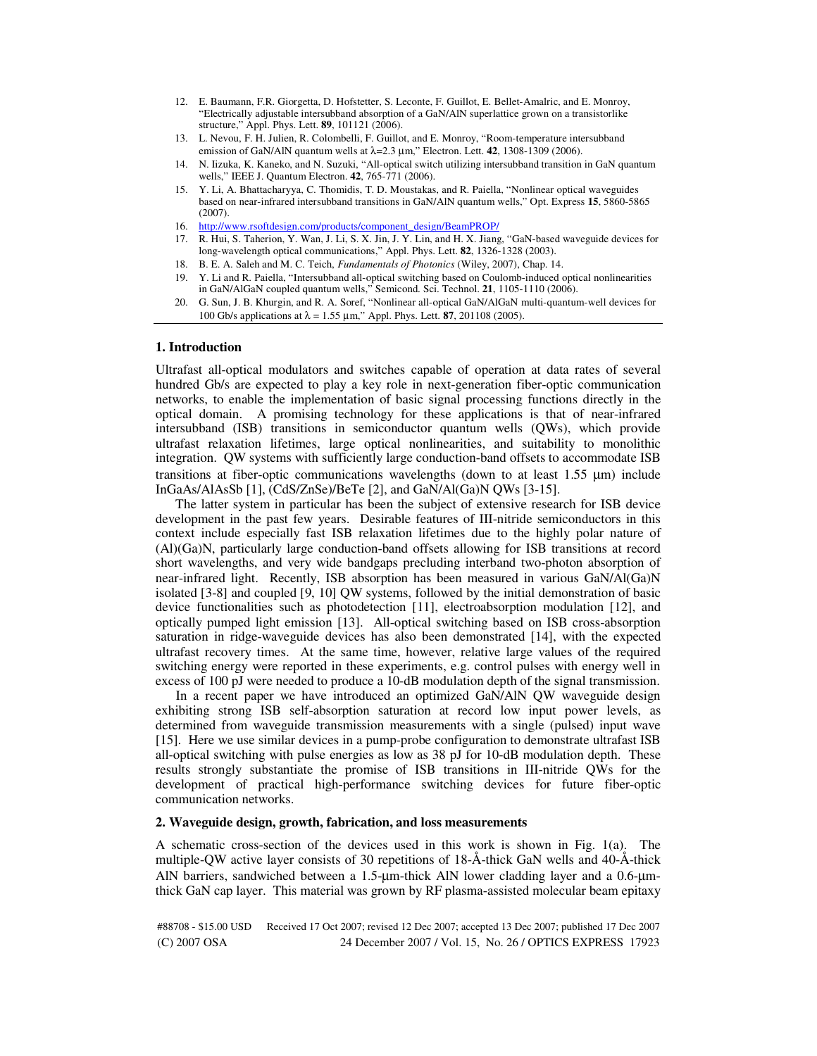- 12. E. Baumann, F.R. Giorgetta, D. Hofstetter, S. Leconte, F. Guillot, E. Bellet-Amalric, and E. Monroy, "Electrically adjustable intersubband absorption of a GaN/AlN superlattice grown on a transistorlike structure," Appl. Phys. Lett. **89**, 101121 (2006).
- 13. L. Nevou, F. H. Julien, R. Colombelli, F. Guillot, and E. Monroy, "Room-temperature intersubband emission of GaN/AlN quantum wells at  $\lambda$ =2.3  $\mu$ m," Electron. Lett. **42**, 1308-1309 (2006).
- 14. N. Iizuka, K. Kaneko, and N. Suzuki, "All-optical switch utilizing intersubband transition in GaN quantum wells," IEEE J. Quantum Electron. **42**, 765-771 (2006).
- 15. Y. Li, A. Bhattacharyya, C. Thomidis, T. D. Moustakas, and R. Paiella, "Nonlinear optical waveguides based on near-infrared intersubband transitions in GaN/AlN quantum wells," Opt. Express **15**, 5860-5865 (2007).
- 16. http://www.rsoftdesign.com/products/component\_design/BeamPROP/
- 17. R. Hui, S. Taherion, Y. Wan, J. Li, S. X. Jin, J. Y. Lin, and H. X. Jiang, "GaN-based waveguide devices for long-wavelength optical communications," Appl. Phys. Lett. **82**, 1326-1328 (2003).
- 18. B. E. A. Saleh and M. C. Teich, *Fundamentals of Photonics* (Wiley, 2007), Chap. 14.
- 19. Y. Li and R. Paiella, "Intersubband all-optical switching based on Coulomb-induced optical nonlinearities in GaN/AlGaN coupled quantum wells," Semicond. Sci. Technol. **21**, 1105-1110 (2006).
- 20. G. Sun, J. B. Khurgin, and R. A. Soref, "Nonlinear all-optical GaN/AlGaN multi-quantum-well devices for 100 Gb/s applications at λ = 1.55 µm," Appl. Phys. Lett. **87**, 201108 (2005).

## **1. Introduction**

Ultrafast all-optical modulators and switches capable of operation at data rates of several hundred Gb/s are expected to play a key role in next-generation fiber-optic communication networks, to enable the implementation of basic signal processing functions directly in the optical domain. A promising technology for these applications is that of near-infrared intersubband (ISB) transitions in semiconductor quantum wells (QWs), which provide ultrafast relaxation lifetimes, large optical nonlinearities, and suitability to monolithic integration. QW systems with sufficiently large conduction-band offsets to accommodate ISB transitions at fiber-optic communications wavelengths (down to at least  $1.55 \mu m$ ) include InGaAs/AlAsSb [1], (CdS/ZnSe)/BeTe [2], and GaN/Al(Ga)N QWs [3-15].

 The latter system in particular has been the subject of extensive research for ISB device development in the past few years. Desirable features of III-nitride semiconductors in this context include especially fast ISB relaxation lifetimes due to the highly polar nature of (Al)(Ga)N, particularly large conduction-band offsets allowing for ISB transitions at record short wavelengths, and very wide bandgaps precluding interband two-photon absorption of near-infrared light. Recently, ISB absorption has been measured in various GaN/Al(Ga)N isolated [3-8] and coupled [9, 10] QW systems, followed by the initial demonstration of basic device functionalities such as photodetection [11], electroabsorption modulation [12], and optically pumped light emission [13]. All-optical switching based on ISB cross-absorption saturation in ridge-waveguide devices has also been demonstrated [14], with the expected ultrafast recovery times. At the same time, however, relative large values of the required switching energy were reported in these experiments, e.g. control pulses with energy well in excess of 100 pJ were needed to produce a 10-dB modulation depth of the signal transmission.

 In a recent paper we have introduced an optimized GaN/AlN QW waveguide design exhibiting strong ISB self-absorption saturation at record low input power levels, as determined from waveguide transmission measurements with a single (pulsed) input wave [15]. Here we use similar devices in a pump-probe configuration to demonstrate ultrafast ISB all-optical switching with pulse energies as low as 38 pJ for 10-dB modulation depth. These results strongly substantiate the promise of ISB transitions in III-nitride QWs for the development of practical high-performance switching devices for future fiber-optic communication networks.

#### **2. Waveguide design, growth, fabrication, and loss measurements**

A schematic cross-section of the devices used in this work is shown in Fig. 1(a). The multiple-QW active layer consists of 30 repetitions of 18-Å-thick GaN wells and 40-Å-thick AlN barriers, sandwiched between a 1.5-µm-thick AlN lower cladding layer and a 0.6-µmthick GaN cap layer. This material was grown by RF plasma-assisted molecular beam epitaxy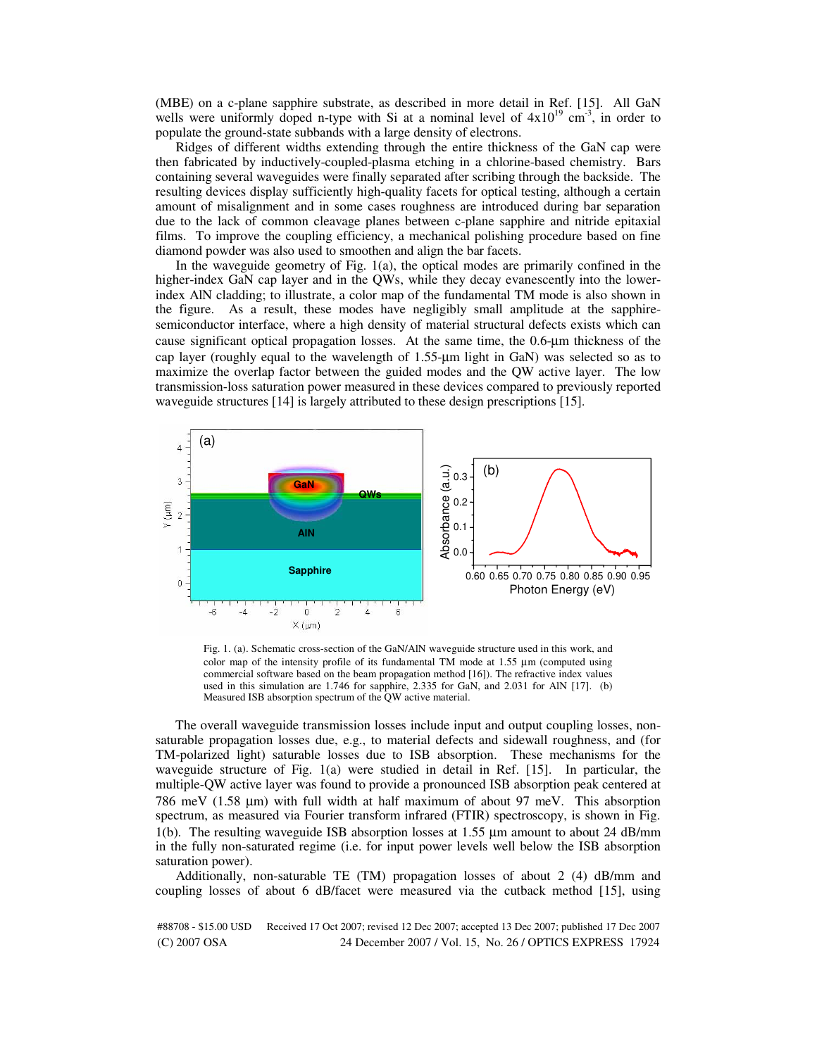(MBE) on a c-plane sapphire substrate, as described in more detail in Ref. [15]. All GaN wells were uniformly doped n-type with Si at a nominal level of  $4x10^{19}$  cm<sup>-3</sup>, in order to populate the ground-state subbands with a large density of electrons.

 Ridges of different widths extending through the entire thickness of the GaN cap were then fabricated by inductively-coupled-plasma etching in a chlorine-based chemistry. Bars containing several waveguides were finally separated after scribing through the backside. The resulting devices display sufficiently high-quality facets for optical testing, although a certain amount of misalignment and in some cases roughness are introduced during bar separation due to the lack of common cleavage planes between c-plane sapphire and nitride epitaxial films. To improve the coupling efficiency, a mechanical polishing procedure based on fine diamond powder was also used to smoothen and align the bar facets.

 In the waveguide geometry of Fig. 1(a), the optical modes are primarily confined in the higher-index GaN cap layer and in the QWs, while they decay evanescently into the lowerindex AlN cladding; to illustrate, a color map of the fundamental TM mode is also shown in the figure. As a result, these modes have negligibly small amplitude at the sapphiresemiconductor interface, where a high density of material structural defects exists which can cause significant optical propagation losses. At the same time, the 0.6-µm thickness of the cap layer (roughly equal to the wavelength of 1.55-µm light in GaN) was selected so as to maximize the overlap factor between the guided modes and the QW active layer. The low transmission-loss saturation power measured in these devices compared to previously reported waveguide structures [14] is largely attributed to these design prescriptions [15].



Fig. 1. (a). Schematic cross-section of the GaN/AlN waveguide structure used in this work, and color map of the intensity profile of its fundamental TM mode at 1.55 µm (computed using commercial software based on the beam propagation method [16]). The refractive index values used in this simulation are 1.746 for sapphire, 2.335 for GaN, and 2.031 for AlN [17]. (b) Measured ISB absorption spectrum of the QW active material.

 The overall waveguide transmission losses include input and output coupling losses, nonsaturable propagation losses due, e.g., to material defects and sidewall roughness, and (for TM-polarized light) saturable losses due to ISB absorption. These mechanisms for the waveguide structure of Fig. 1(a) were studied in detail in Ref. [15]. In particular, the multiple-QW active layer was found to provide a pronounced ISB absorption peak centered at 786 meV (1.58 µm) with full width at half maximum of about 97 meV. This absorption spectrum, as measured via Fourier transform infrared (FTIR) spectroscopy, is shown in Fig. 1(b). The resulting waveguide ISB absorption losses at 1.55 µm amount to about 24 dB/mm in the fully non-saturated regime (i.e. for input power levels well below the ISB absorption saturation power).

 Additionally, non-saturable TE (TM) propagation losses of about 2 (4) dB/mm and coupling losses of about 6 dB/facet were measured via the cutback method [15], using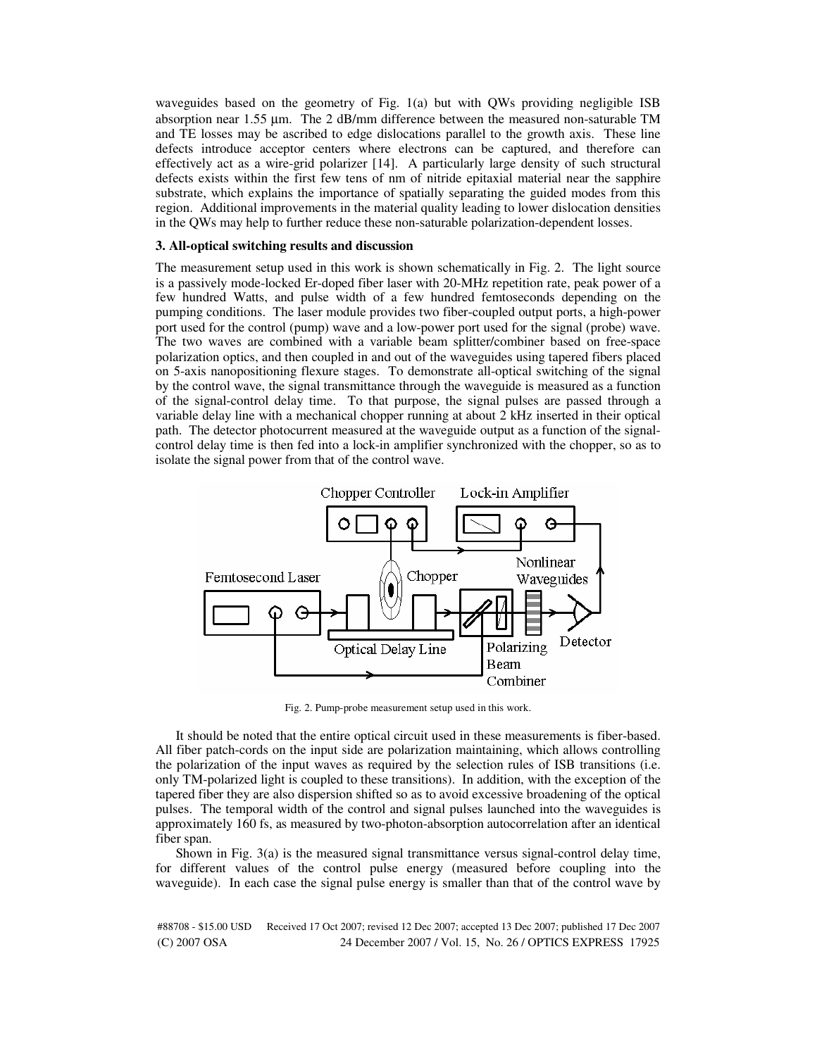waveguides based on the geometry of Fig. 1(a) but with QWs providing negligible ISB absorption near 1.55 µm. The 2 dB/mm difference between the measured non-saturable TM and TE losses may be ascribed to edge dislocations parallel to the growth axis. These line defects introduce acceptor centers where electrons can be captured, and therefore can effectively act as a wire-grid polarizer [14]. A particularly large density of such structural defects exists within the first few tens of nm of nitride epitaxial material near the sapphire substrate, which explains the importance of spatially separating the guided modes from this region. Additional improvements in the material quality leading to lower dislocation densities in the QWs may help to further reduce these non-saturable polarization-dependent losses.

## **3. All-optical switching results and discussion**

The measurement setup used in this work is shown schematically in Fig. 2. The light source is a passively mode-locked Er-doped fiber laser with 20-MHz repetition rate, peak power of a few hundred Watts, and pulse width of a few hundred femtoseconds depending on the pumping conditions. The laser module provides two fiber-coupled output ports, a high-power port used for the control (pump) wave and a low-power port used for the signal (probe) wave. The two waves are combined with a variable beam splitter/combiner based on free-space polarization optics, and then coupled in and out of the waveguides using tapered fibers placed on 5-axis nanopositioning flexure stages. To demonstrate all-optical switching of the signal by the control wave, the signal transmittance through the waveguide is measured as a function of the signal-control delay time. To that purpose, the signal pulses are passed through a variable delay line with a mechanical chopper running at about 2 kHz inserted in their optical path. The detector photocurrent measured at the waveguide output as a function of the signalcontrol delay time is then fed into a lock-in amplifier synchronized with the chopper, so as to isolate the signal power from that of the control wave.



Fig. 2. Pump-probe measurement setup used in this work.

 It should be noted that the entire optical circuit used in these measurements is fiber-based. All fiber patch-cords on the input side are polarization maintaining, which allows controlling the polarization of the input waves as required by the selection rules of ISB transitions (i.e. only TM-polarized light is coupled to these transitions). In addition, with the exception of the tapered fiber they are also dispersion shifted so as to avoid excessive broadening of the optical pulses. The temporal width of the control and signal pulses launched into the waveguides is approximately 160 fs, as measured by two-photon-absorption autocorrelation after an identical fiber span.

 Shown in Fig. 3(a) is the measured signal transmittance versus signal-control delay time, for different values of the control pulse energy (measured before coupling into the waveguide). In each case the signal pulse energy is smaller than that of the control wave by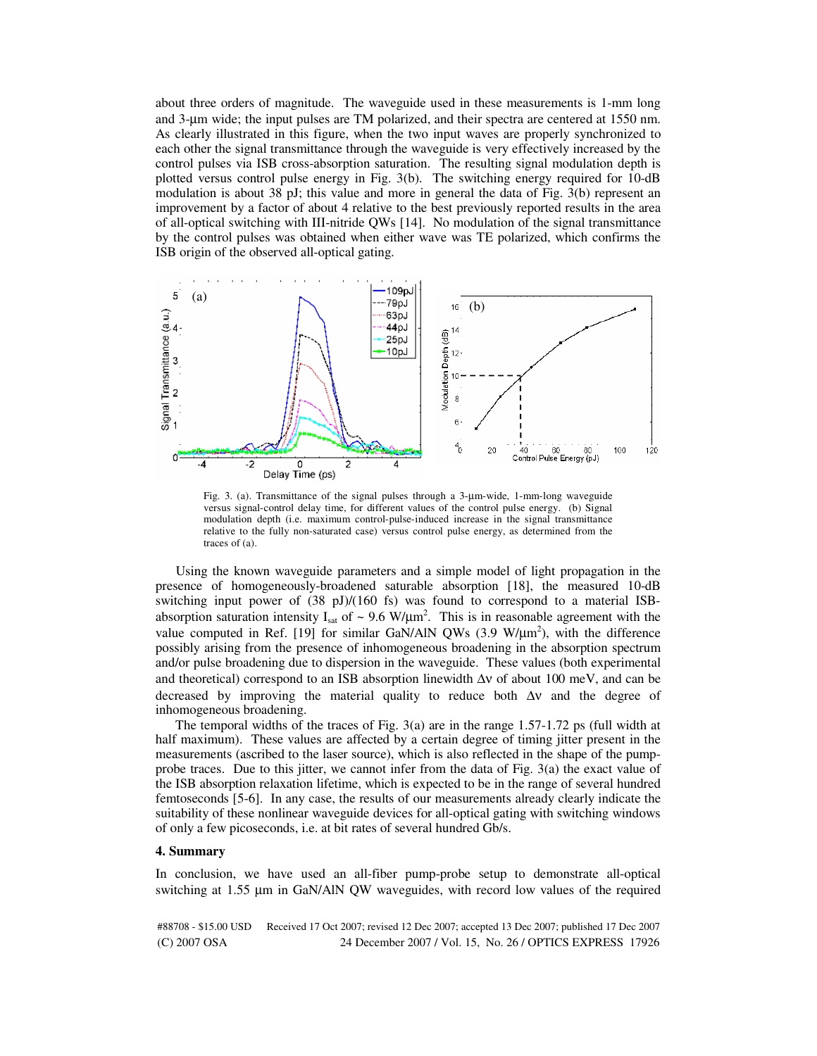about three orders of magnitude. The waveguide used in these measurements is 1-mm long and 3-um wide; the input pulses are TM polarized, and their spectra are centered at 1550 nm. As clearly illustrated in this figure, when the two input waves are properly synchronized to each other the signal transmittance through the waveguide is very effectively increased by the control pulses via ISB cross-absorption saturation. The resulting signal modulation depth is plotted versus control pulse energy in Fig. 3(b). The switching energy required for 10-dB modulation is about 38 pJ; this value and more in general the data of Fig. 3(b) represent an improvement by a factor of about 4 relative to the best previously reported results in the area of all-optical switching with III-nitride QWs [14]. No modulation of the signal transmittance by the control pulses was obtained when either wave was TE polarized, which confirms the ISB origin of the observed all-optical gating.



Fig. 3. (a). Transmittance of the signal pulses through a 3-µm-wide, 1-mm-long waveguide versus signal-control delay time, for different values of the control pulse energy. (b) Signal modulation depth (i.e. maximum control-pulse-induced increase in the signal transmittance relative to the fully non-saturated case) versus control pulse energy, as determined from the traces of (a).

 Using the known waveguide parameters and a simple model of light propagation in the presence of homogeneously-broadened saturable absorption [18], the measured 10-dB switching input power of  $(38 \text{ pJ})/(160 \text{ fs})$  was found to correspond to a material ISBabsorption saturation intensity  $I_{sat}$  of  $\sim 9.6 \text{ W/}\mu\text{m}^2$ . This is in reasonable agreement with the value computed in Ref. [19] for similar GaN/AlN QWs  $(3.9 \text{ W/µm}^2)$ , with the difference possibly arising from the presence of inhomogeneous broadening in the absorption spectrum and/or pulse broadening due to dispersion in the waveguide. These values (both experimental and theoretical) correspond to an ISB absorption linewidth  $\Delta v$  of about 100 meV, and can be decreased by improving the material quality to reduce both Δν and the degree of inhomogeneous broadening.

 The temporal widths of the traces of Fig. 3(a) are in the range 1.57-1.72 ps (full width at half maximum). These values are affected by a certain degree of timing jitter present in the measurements (ascribed to the laser source), which is also reflected in the shape of the pumpprobe traces. Due to this jitter, we cannot infer from the data of Fig. 3(a) the exact value of the ISB absorption relaxation lifetime, which is expected to be in the range of several hundred femtoseconds [5-6]. In any case, the results of our measurements already clearly indicate the suitability of these nonlinear waveguide devices for all-optical gating with switching windows of only a few picoseconds, i.e. at bit rates of several hundred Gb/s.

## **4. Summary**

In conclusion, we have used an all-fiber pump-probe setup to demonstrate all-optical switching at 1.55 µm in GaN/AlN QW waveguides, with record low values of the required